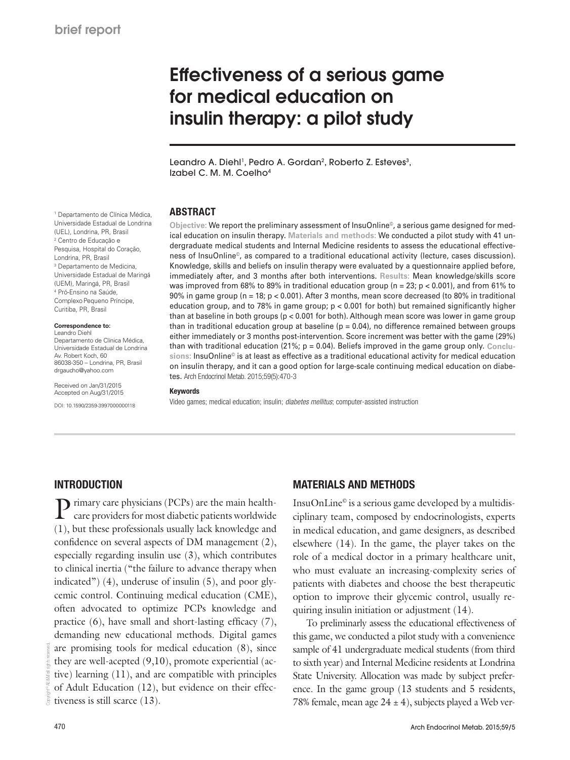# Effectiveness of a serious game for medical education on insulin therapy: a pilot study

Leandro A. Diehl<sup>1</sup>, Pedro A. Gordan<sup>2</sup>, Roberto Z. Esteves<sup>3</sup>, Izabel C. M. M. Coelho4

### ABSTRACT

**Objective:** We report the preliminary assessment of InsuOnline©, a serious game designed for medical education on insulin therapy. **Materials and methods:** We conducted a pilot study with 41 undergraduate medical students and Internal Medicine residents to assess the educational effectiveness of InsuOnline©, as compared to a traditional educational activity (lecture, cases discussion). Knowledge, skills and beliefs on insulin therapy were evaluated by a questionnaire applied before, immediately after, and 3 months after both interventions. **Results:** Mean knowledge/skills score was improved from 68% to 89% in traditional education group ( $n = 23$ ;  $p < 0.001$ ), and from 61% to 90% in game group (n = 18; p < 0.001). After 3 months, mean score decreased (to 80% in traditional education group, and to 78% in game group; p < 0.001 for both) but remained significantly higher than at baseline in both groups (p < 0.001 for both). Although mean score was lower in game group than in traditional education group at baseline ( $p = 0.04$ ), no difference remained between groups either immediately or 3 months post-intervention. Score increment was better with the game (29%) than with traditional education (21%; p = 0.04). Beliefs improved in the game group only. **Conclusions:** InsuOnline© is at least as effective as a traditional educational activity for medical education on insulin therapy, and it can a good option for large-scale continuing medical education on diabetes. Arch Endocrinol Metab. 2015;59(5):470-3

### Keywords

Video games; medical education; insulin; *diabetes mellitus*; computer-assisted instruction

#### Universidade Estadual de Londrina (UEL), Londrina, PR, Brasil 2 Centro de Educação e Pesquisa, Hospital do Coração, Londrina, PR, Brasil 3 Departamento de Medicina, Universidade Estadual de Maringá (UEM), Maringá, PR, Brasil 4 Pró-Ensino na Saúde, Complexo Pequeno Príncipe, Curitiba, PR, Brasil

1 Departamento de Clínica Médica,

#### **Correspondence to:**

Leandro Diehl Departamento de Clínica Médica, Universidade Estadual de Londrina Av. Robert Koch, 60 86038-350 – Londrina, PR, Brasil drgaucho@yahoo.com

Received on Jan/31/2015 Accepted on Aug/31/2015

DOI: 10.1590/2359-3997000000118

# **INTRODUCTION**

 $\sum$  rimary care physicians (PCPs) are the main healthcare providers for most diabetic patients worldwide (1), but these professionals usually lack knowledge and confidence on several aspects of DM management (2), especially regarding insulin use (3), which contributes to clinical inertia ("the failure to advance therapy when indicated") (4), underuse of insulin (5), and poor glycemic control. Continuing medical education (CME), often advocated to optimize PCPs knowledge and practice (6), have small and short-lasting efficacy (7), demanding new educational methods. Digital games are promising tools for medical education (8), since they are well-acepted (9,10), promote experiential (active) learning (11), and are compatible with principles of Adult Education (12), but evidence on their effectiveness is still scarce (13).

Copyright© AE&M all rights reserved.

# MATERIALS AND METHODS

Insu $OnLine^{\circ}$  is a serious game developed by a multidisciplinary team, composed by endocrinologists, experts in medical education, and game designers, as described elsewhere (14). In the game, the player takes on the role of a medical doctor in a primary healthcare unit, who must evaluate an increasing-complexity series of patients with diabetes and choose the best therapeutic option to improve their glycemic control, usually requiring insulin initiation or adjustment (14).

To preliminarly assess the educational effectiveness of this game, we conducted a pilot study with a convenience sample of 41 undergraduate medical students (from third to sixth year) and Internal Medicine residents at Londrina State University. Allocation was made by subject preference. In the game group (13 students and 5 residents, 78% female, mean age  $24 \pm 4$ ), subjects played a Web ver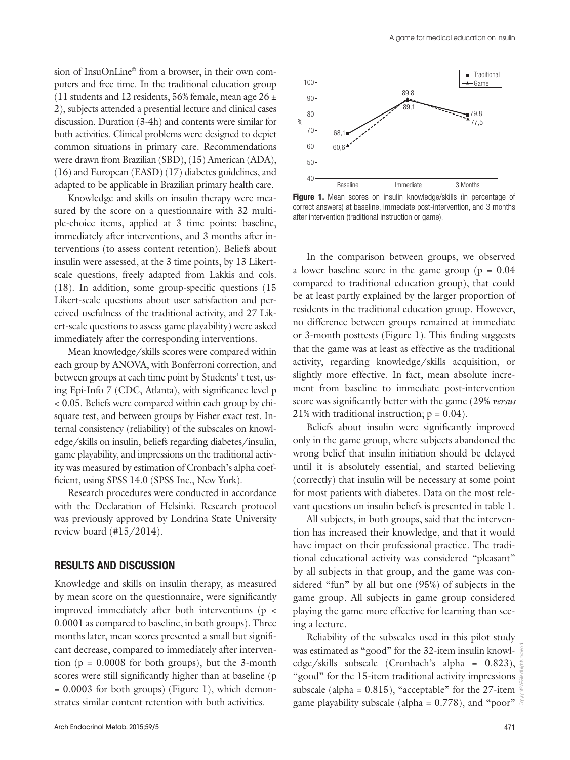sion of InsuOnLine© from a browser, in their own computers and free time. In the traditional education group (11 students and 12 residents, 56% female, mean age  $26 \pm$ 2), subjects attended a presential lecture and clinical cases discussion. Duration (3-4h) and contents were similar for both activities. Clinical problems were designed to depict common situations in primary care. Recommendations were drawn from Brazilian (SBD), (15) American (ADA), (16) and European (EASD) (17) diabetes guidelines, and adapted to be applicable in Brazilian primary health care.

Knowledge and skills on insulin therapy were measured by the score on a questionnaire with 32 multiple-choice items, applied at 3 time points: baseline, immediately after interventions, and 3 months after interventions (to assess content retention). Beliefs about insulin were assessed, at the 3 time points, by 13 Likertscale questions, freely adapted from Lakkis and cols. (18). In addition, some group-specific questions (15 Likert-scale questions about user satisfaction and perceived usefulness of the traditional activity, and 27 Likert-scale questions to assess game playability) were asked immediately after the corresponding interventions.

Mean knowledge/skills scores were compared within each group by ANOVA, with Bonferroni correction, and between groups at each time point by Students' t test, using Epi-Info 7 (CDC, Atlanta), with significance level p < 0.05. Beliefs were compared within each group by chisquare test, and between groups by Fisher exact test. Internal consistency (reliability) of the subscales on knowledge/skills on insulin, beliefs regarding diabetes/insulin, game playability, and impressions on the traditional activity was measured by estimation of Cronbach's alpha coefficient, using SPSS 14.0 (SPSS Inc., New York).

Research procedures were conducted in accordance with the Declaration of Helsinki. Research protocol was previously approved by Londrina State University review board (#15/2014).

## RESULTS AND DISCUSSION

Knowledge and skills on insulin therapy, as measured by mean score on the questionnaire, were significantly improved immediately after both interventions (p < 0.0001 as compared to baseline, in both groups). Three months later, mean scores presented a small but significant decrease, compared to immediately after intervention ( $p = 0.0008$  for both groups), but the 3-month scores were still significantly higher than at baseline (p  $= 0.0003$  for both groups) (Figure 1), which demonstrates similar content retention with both activities.



Figure 1. Mean scores on insulin knowledge/skills (in percentage of correct answers) at baseline, immediate post-intervention, and 3 months after intervention (traditional instruction or game).

In the comparison between groups, we observed a lower baseline score in the game group ( $p = 0.04$ ) compared to traditional education group), that could be at least partly explained by the larger proportion of residents in the traditional education group. However, no difference between groups remained at immediate or 3-month posttests (Figure 1). This finding suggests that the game was at least as effective as the traditional activity, regarding knowledge/skills acquisition, or slightly more effective. In fact, mean absolute increment from baseline to immediate post-intervention score was significantly better with the game (29% *versus* 21% with traditional instruction;  $p = 0.04$ ).

Beliefs about insulin were significantly improved only in the game group, where subjects abandoned the wrong belief that insulin initiation should be delayed until it is absolutely essential, and started believing (correctly) that insulin will be necessary at some point for most patients with diabetes. Data on the most relevant questions on insulin beliefs is presented in table 1.

All subjects, in both groups, said that the intervention has increased their knowledge, and that it would have impact on their professional practice. The traditional educational activity was considered "pleasant" by all subjects in that group, and the game was considered "fun" by all but one (95%) of subjects in the game group. All subjects in game group considered playing the game more effective for learning than seeing a lecture.

Reliability of the subscales used in this pilot study was estimated as "good" for the 32-item insulin knowledge/skills subscale (Cronbach's alpha =  $0.823$ ),  $\frac{3}{2}$ "good" for the 15-item traditional activity impressions subscale (alpha =  $0.815$ ), "acceptable" for the 27-item game playability subscale (alpha =  $0.778$ ), and "poor"  $\frac{5}{6}$ 

Copyright© AE&M all rights reserved.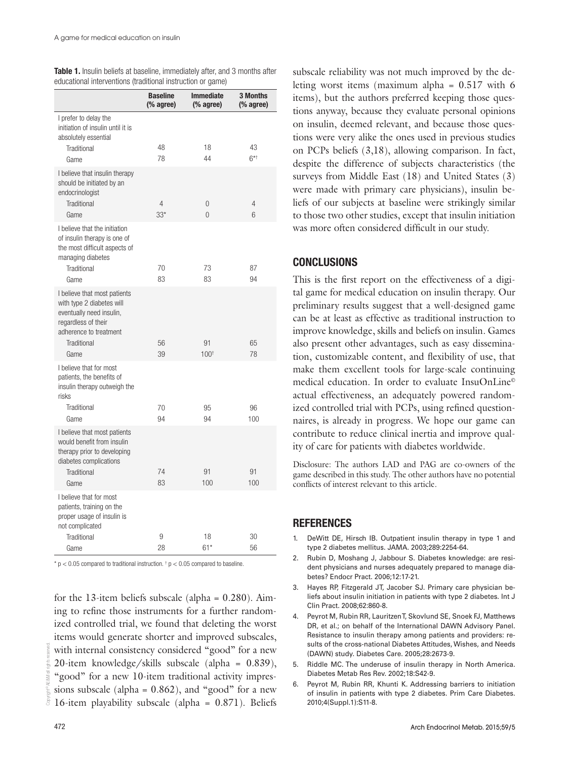| $\alpha$ aabaabhan mitor vormono (a'aanaonan moa'ababhi or garno)                                                                                             | <b>Baseline</b><br>(% agree) | <b>Immediate</b><br>$%$ agree) | <b>3 Months</b><br>$%$ agree) |
|---------------------------------------------------------------------------------------------------------------------------------------------------------------|------------------------------|--------------------------------|-------------------------------|
| I prefer to delay the<br>initiation of insulin until it is                                                                                                    |                              |                                |                               |
| absolutely essential<br>Traditional<br>Game                                                                                                                   | 48<br>78                     | 18<br>44                       | 43<br>$6^{*+}$                |
| I believe that insulin therapy<br>should be initiated by an<br>endocrinologist                                                                                |                              |                                |                               |
| Traditional<br>Game                                                                                                                                           | 4<br>$33*$                   | 0<br>$\Omega$                  | 4<br>6                        |
| I believe that the initiation<br>of insulin therapy is one of<br>the most difficult aspects of<br>managing diabetes                                           |                              |                                |                               |
| Traditional                                                                                                                                                   | 70                           | 73                             | 87                            |
| Game                                                                                                                                                          | 83                           | 83                             | 94                            |
| I believe that most patients<br>with type 2 diabetes will<br>eventually need insulin,<br>regardless of their<br>adherence to treatment<br>Traditional<br>Game | 56<br>39                     | 91<br>$100^{+}$                | 65<br>78                      |
| I believe that for most<br>patients, the benefits of<br>insulin therapy outweigh the<br>risks<br>Traditional                                                  | 70                           | 95                             | 96                            |
| Game                                                                                                                                                          | 94                           | 94                             | 100                           |
| I believe that most patients<br>would benefit from insulin<br>therapy prior to developing<br>diabetes complications                                           |                              |                                |                               |
| Traditional<br>Game                                                                                                                                           | 74<br>83                     | 91<br>100                      | 91<br>100                     |
| I believe that for most<br>patients, training on the<br>proper usage of insulin is<br>not complicated                                                         |                              |                                |                               |
| Traditional<br>Game                                                                                                                                           | 9<br>28                      | 18<br>$61*$                    | 30<br>56                      |

Table 1. Insulin beliefs at baseline, immediately after, and 3 months after educational interventions (traditional instruction or game)

 $*$  p < 0.05 compared to traditional instruction.  $*$  p < 0.05 compared to baseline.

for the 13-item beliefs subscale (alpha =  $0.280$ ). Aiming to refine those instruments for a further randomized controlled trial, we found that deleting the worst items would generate shorter and improved subscales, with internal consistency considered "good" for a new 20-item knowledge/skills subscale (alpha = 0.839), "good" for a new 10-item traditional activity impressions subscale (alpha =  $0.862$ ), and "good" for a new 16-item playability subscale (alpha = 0.871). Beliefs subscale reliability was not much improved by the deleting worst items (maximum alpha = 0.517 with 6 items), but the authors preferred keeping those questions anyway, because they evaluate personal opinions on insulin, deemed relevant, and because those questions were very alike the ones used in previous studies on PCPs beliefs (3,18), allowing comparison. In fact, despite the difference of subjects characteristics (the surveys from Middle East (18) and United States (3) were made with primary care physicians), insulin beliefs of our subjects at baseline were strikingly similar to those two other studies, except that insulin initiation was more often considered difficult in our study.

# CONCLUSIONS

This is the first report on the effectiveness of a digital game for medical education on insulin therapy. Our preliminary results suggest that a well-designed game can be at least as effective as traditional instruction to improve knowledge, skills and beliefs on insulin. Games also present other advantages, such as easy dissemination, customizable content, and flexibility of use, that make them excellent tools for large-scale continuing medical education. In order to evaluate InsuOnLine© actual effectiveness, an adequately powered randomized controlled trial with PCPs, using refined questionnaires, is already in progress. We hope our game can contribute to reduce clinical inertia and improve quality of care for patients with diabetes worldwide.

Disclosure: The authors LAD and PAG are co-owners of the game described in this study. The other authors have no potential conflicts of interest relevant to this article.

### **REFERENCES**

- 1. DeWitt DE, Hirsch IB. Outpatient insulin therapy in type 1 and type 2 diabetes mellitus. JAMA. 2003;289:2254-64.
- 2. Rubin D, Moshang J, Jabbour S. Diabetes knowledge: are resident physicians and nurses adequately prepared to manage diabetes? Endocr Pract. 2006;12:17-21.
- 3. Hayes RP, Fitzgerald JT, Jacober SJ. Primary care physician beliefs about insulin initiation in patients with type 2 diabetes. Int J Clin Pract. 2008;62:860-8.
- 4. Peyrot M, Rubin RR, Lauritzen T, Skovlund SE, Snoek FJ, Matthews DR, et al.; on behalf of the International DAWN Advisory Panel. Resistance to insulin therapy among patients and providers: results of the cross-national Diabetes Attitudes, Wishes, and Needs (DAWN) study. Diabetes Care. 2005;28:2673-9.
- 5. Riddle MC. The underuse of insulin therapy in North America. Diabetes Metab Res Rev. 2002;18:S42-9.
- 6. Peyrot M, Rubin RR, Khunti K. Addressing barriers to initiation of insulin in patients with type 2 diabetes. Prim Care Diabetes. 2010;4(Suppl.1):S11-8.

Copyright© AE&M all rights reserved.